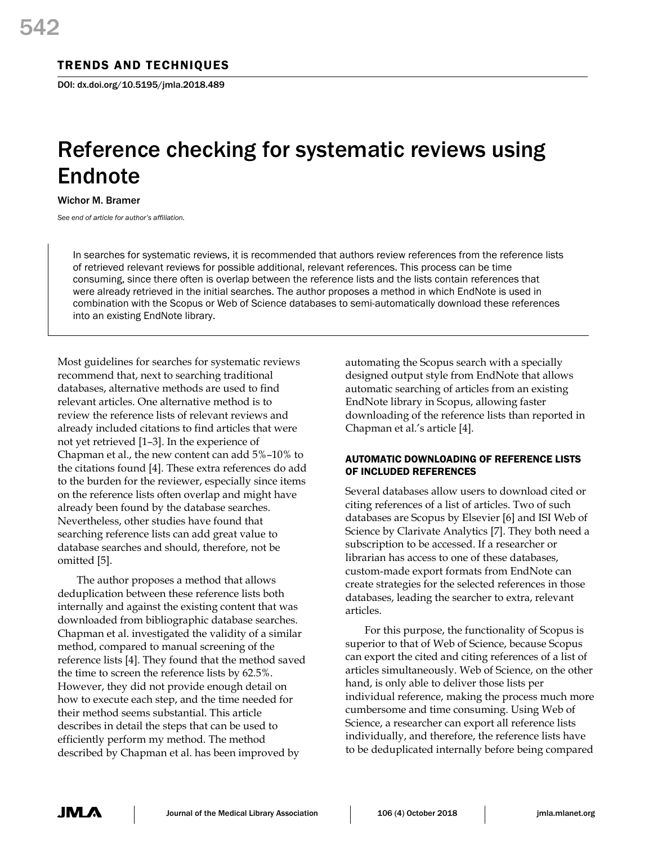# TRENDS AND TECHNIQUES

DOI: dx.doi.org/10.5195/jmla.2018.489

# Reference checking for systematic reviews using Endnote

Wichor M. Bramer

*See end of article for author's affiliation.*

In searches for systematic reviews, it is recommended that authors review references from the reference lists of retrieved relevant reviews for possible additional, relevant references. This process can be time consuming, since there often is overlap between the reference lists and the lists contain references that were already retrieved in the initial searches. The author proposes a method in which EndNote is used in combination with the Scopus or Web of Science databases to semi-automatically download these references into an existing EndNote library.

Most guidelines for searches for systematic reviews recommend that, next to searching traditional databases, alternative methods are used to find relevant articles. One alternative method is to review the reference lists of relevant reviews and already included citations to find articles that were not yet retrieved [1–3]. In the experience of Chapman et al., the new content can add 5%–10% to the citations found [4]. These extra references do add to the burden for the reviewer, especially since items on the reference lists often overlap and might have already been found by the database searches. Nevertheless, other studies have found that searching reference lists can add great value to database searches and should, therefore, not be omitted [5].

The author proposes a method that allows deduplication between these reference lists both internally and against the existing content that was downloaded from bibliographic database searches. Chapman et al. investigated the validity of a similar method, compared to manual screening of the reference lists [4]. They found that the method saved the time to screen the reference lists by 62.5%. However, they did not provide enough detail on how to execute each step, and the time needed for their method seems substantial. This article describes in detail the steps that can be used to efficiently perform my method. The method described by Chapman et al. has been improved by

automating the Scopus search with a specially designed output style from EndNote that allows automatic searching of articles from an existing EndNote library in Scopus, allowing faster downloading of the reference lists than reported in Chapman et al.'s article [4].

## AUTOMATIC DOWNLOADING OF REFERENCE LISTS OF INCLUDED REFERENCES

Several databases allow users to download cited or citing references of a list of articles. Two of such databases are Scopus by Elsevier [6] and ISI Web of Science by Clarivate Analytics [7]. They both need a subscription to be accessed. If a researcher or librarian has access to one of these databases, custom-made export formats from EndNote can create strategies for the selected references in those databases, leading the searcher to extra, relevant articles.

For this purpose, the functionality of Scopus is superior to that of Web of Science, because Scopus can export the cited and citing references of a list of articles simultaneously. Web of Science, on the other hand, is only able to deliver those lists per individual reference, making the process much more cumbersome and time consuming. Using Web of Science, a researcher can export all reference lists individually, and therefore, the reference lists have to be deduplicated internally before being compared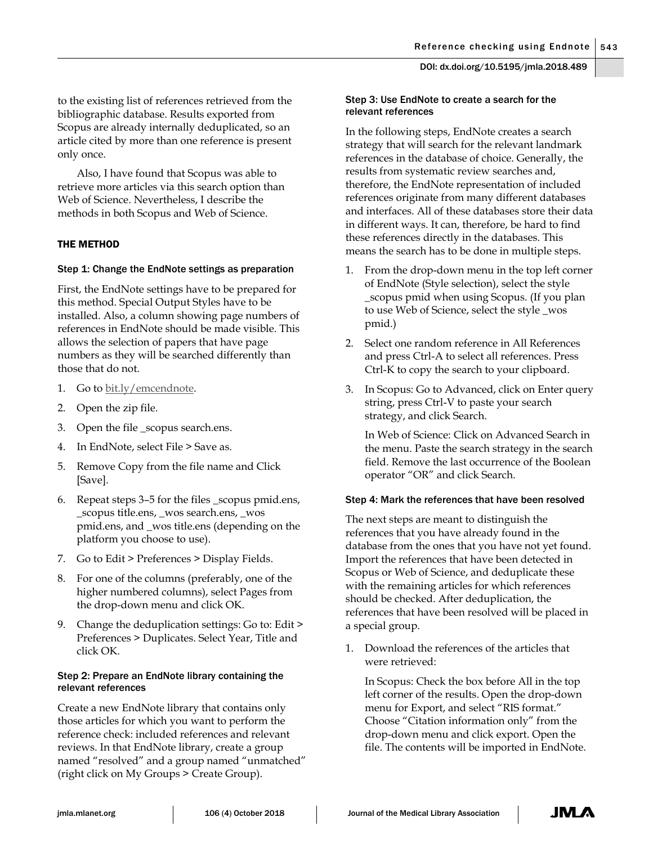to the existing list of references retrieved from the bibliographic database. Results exported from Scopus are already internally deduplicated, so an article cited by more than one reference is present only once.

Also, I have found that Scopus was able to retrieve more articles via this search option than Web of Science. Nevertheless, I describe the methods in both Scopus and Web of Science.

## THE METHOD

## Step 1: Change the EndNote settings as preparation

First, the EndNote settings have to be prepared for this method. Special Output Styles have to be installed. Also, a column showing page numbers of references in EndNote should be made visible. This allows the selection of papers that have page numbers as they will be searched differently than those that do not.

- 1. Go to [bit.ly/emcendnote.](http://bit.ly/emcendnote)
- 2. Open the zip file.
- 3. Open the file \_scopus search.ens.
- 4. In EndNote, select File > Save as.
- 5. Remove Copy from the file name and Click [Save].
- 6. Repeat steps 3–5 for the files \_scopus pmid.ens, \_scopus title.ens, \_wos search.ens, \_wos pmid.ens, and \_wos title.ens (depending on the platform you choose to use).
- 7. Go to Edit > Preferences > Display Fields.
- 8. For one of the columns (preferably, one of the higher numbered columns), select Pages from the drop-down menu and click OK.
- 9. Change the deduplication settings: Go to: Edit > Preferences > Duplicates. Select Year, Title and click OK.

## Step 2: Prepare an EndNote library containing the relevant references

Create a new EndNote library that contains only those articles for which you want to perform the reference check: included references and relevant reviews. In that EndNote library, create a group named "resolved" and a group named "unmatched" (right click on My Groups > Create Group).

## Step 3: Use EndNote to create a search for the relevant references

In the following steps, EndNote creates a search strategy that will search for the relevant landmark references in the database of choice. Generally, the results from systematic review searches and, therefore, the EndNote representation of included references originate from many different databases and interfaces. All of these databases store their data in different ways. It can, therefore, be hard to find these references directly in the databases. This means the search has to be done in multiple steps.

- 1. From the drop-down menu in the top left corner of EndNote (Style selection), select the style \_scopus pmid when using Scopus. (If you plan to use Web of Science, select the style \_wos pmid.)
- 2. Select one random reference in All References and press Ctrl-A to select all references. Press Ctrl-K to copy the search to your clipboard.
- 3. In Scopus: Go to Advanced, click on Enter query string, press Ctrl-V to paste your search strategy, and click Search.

In Web of Science: Click on Advanced Search in the menu. Paste the search strategy in the search field. Remove the last occurrence of the Boolean operator "OR" and click Search.

### Step 4: Mark the references that have been resolved

The next steps are meant to distinguish the references that you have already found in the database from the ones that you have not yet found. Import the references that have been detected in Scopus or Web of Science, and deduplicate these with the remaining articles for which references should be checked. After deduplication, the references that have been resolved will be placed in a special group.

1. Download the references of the articles that were retrieved:

In Scopus: Check the box before All in the top left corner of the results. Open the drop-down menu for Export, and select "RIS format." Choose "Citation information only" from the drop-down menu and click export. Open the file. The contents will be imported in EndNote.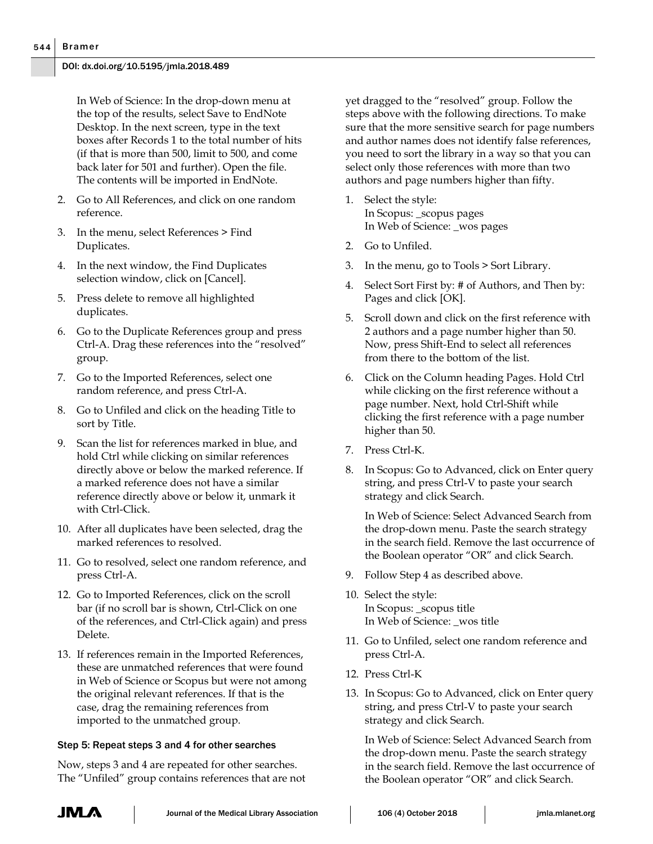In Web of Science: In the drop-down menu at the top of the results, select Save to EndNote Desktop. In the next screen, type in the text boxes after Records 1 to the total number of hits (if that is more than 500, limit to 500, and come back later for 501 and further). Open the file. The contents will be imported in EndNote.

- 2. Go to All References, and click on one random reference.
- 3. In the menu, select References > Find Duplicates.
- 4. In the next window, the Find Duplicates selection window, click on [Cancel].
- 5. Press delete to remove all highlighted duplicates.
- 6. Go to the Duplicate References group and press Ctrl-A. Drag these references into the "resolved" group.
- 7. Go to the Imported References, select one random reference, and press Ctrl-A.
- 8. Go to Unfiled and click on the heading Title to sort by Title.
- 9. Scan the list for references marked in blue, and hold Ctrl while clicking on similar references directly above or below the marked reference. If a marked reference does not have a similar reference directly above or below it, unmark it with Ctrl-Click.
- 10. After all duplicates have been selected, drag the marked references to resolved.
- 11. Go to resolved, select one random reference, and press Ctrl-A.
- 12. Go to Imported References, click on the scroll bar (if no scroll bar is shown, Ctrl-Click on one of the references, and Ctrl-Click again) and press Delete.
- 13. If references remain in the Imported References, these are unmatched references that were found in Web of Science or Scopus but were not among the original relevant references. If that is the case, drag the remaining references from imported to the unmatched group.

## Step 5: Repeat steps 3 and 4 for other searches

Now, steps 3 and 4 are repeated for other searches. The "Unfiled" group contains references that are not yet dragged to the "resolved" group. Follow the steps above with the following directions. To make sure that the more sensitive search for page numbers and author names does not identify false references, you need to sort the library in a way so that you can select only those references with more than two authors and page numbers higher than fifty.

- 1. Select the style: In Scopus: \_scopus pages In Web of Science: \_wos pages
- 2. Go to Unfiled.
- 3. In the menu, go to Tools > Sort Library.
- 4. Select Sort First by: # of Authors, and Then by: Pages and click [OK].
- 5. Scroll down and click on the first reference with 2 authors and a page number higher than 50. Now, press Shift-End to select all references from there to the bottom of the list.
- 6. Click on the Column heading Pages. Hold Ctrl while clicking on the first reference without a page number. Next, hold Ctrl-Shift while clicking the first reference with a page number higher than 50.
- 7. Press Ctrl-K.
- 8. In Scopus: Go to Advanced, click on Enter query string, and press Ctrl-V to paste your search strategy and click Search.

In Web of Science: Select Advanced Search from the drop-down menu. Paste the search strategy in the search field. Remove the last occurrence of the Boolean operator "OR" and click Search.

- 9. Follow Step 4 as described above.
- 10. Select the style: In Scopus: \_scopus title In Web of Science: \_wos title
- 11. Go to Unfiled, select one random reference and press Ctrl-A.
- 12. Press Ctrl-K
- 13. In Scopus: Go to Advanced, click on Enter query string, and press Ctrl-V to paste your search strategy and click Search.

In Web of Science: Select Advanced Search from the drop-down menu. Paste the search strategy in the search field. Remove the last occurrence of the Boolean operator "OR" and click Search.

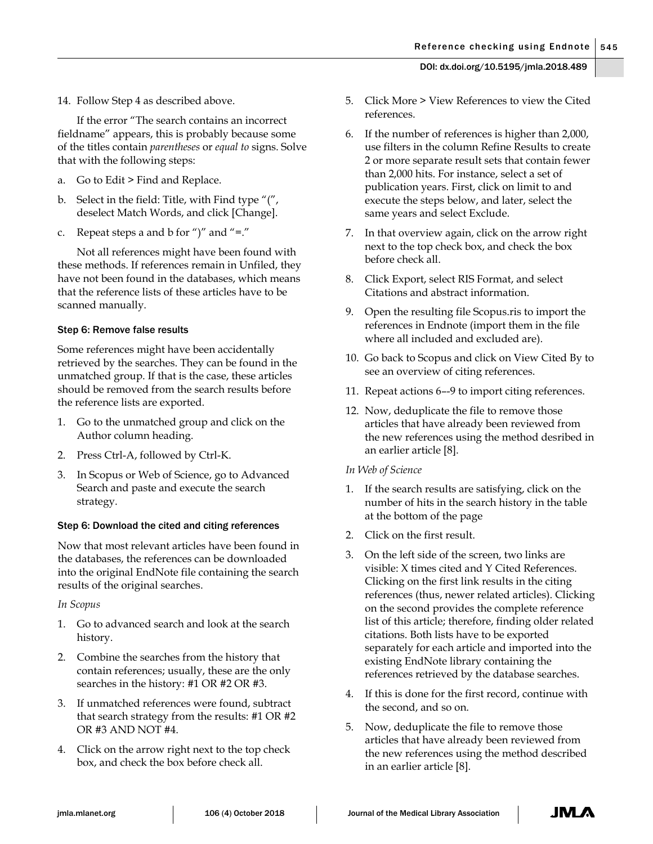If the error "The search contains an incorrect fieldname" appears, this is probably because some of the titles contain *parentheses* or *equal to* signs. Solve that with the following steps:

- a. Go to Edit > Find and Replace.
- b. Select in the field: Title, with Find type "(", deselect Match Words, and click [Change].
- Repeat steps a and b for ")" and "=."

Not all references might have been found with these methods. If references remain in Unfiled, they have not been found in the databases, which means that the reference lists of these articles have to be scanned manually.

## Step 6: Remove false results

Some references might have been accidentally retrieved by the searches. They can be found in the unmatched group. If that is the case, these articles should be removed from the search results before the reference lists are exported.

- 1. Go to the unmatched group and click on the Author column heading.
- 2. Press Ctrl-A, followed by Ctrl-K.
- In Scopus or Web of Science, go to Advanced Search and paste and execute the search strategy.

## Step 6: Download the cited and citing references

Now that most relevant articles have been found in the databases, the references can be downloaded into the original EndNote file containing the search results of the original searches.

*In Scopus*

- 1. Go to advanced search and look at the search history.
- 2. Combine the searches from the history that contain references; usually, these are the only searches in the history: #1 OR #2 OR #3.
- 3. If unmatched references were found, subtract that search strategy from the results: #1 OR #2 OR #3 AND NOT #4.
- 4. Click on the arrow right next to the top check box, and check the box before check all.
- 5. Click More > View References to view the Cited references.
- 6. If the number of references is higher than 2,000, use filters in the column Refine Results to create 2 or more separate result sets that contain fewer than 2,000 hits. For instance, select a set of publication years. First, click on limit to and execute the steps below, and later, select the same years and select Exclude.
- 7. In that overview again, click on the arrow right next to the top check box, and check the box before check all.
- 8. Click Export, select RIS Format, and select Citations and abstract information.
- 9. Open the resulting file Scopus.ris to import the references in Endnote (import them in the file where all included and excluded are).
- 10. Go back to Scopus and click on View Cited By to see an overview of citing references.
- 11. Repeat actions 6–-9 to import citing references.
- 12. Now, deduplicate the file to remove those articles that have already been reviewed from the new references using the method desribed in an earlier article [8].
- *In Web of Science*
- 1. If the search results are satisfying, click on the number of hits in the search history in the table at the bottom of the page
- 2. Click on the first result.
- 3. On the left side of the screen, two links are visible: X times cited and Y Cited References. Clicking on the first link results in the citing references (thus, newer related articles). Clicking on the second provides the complete reference list of this article; therefore, finding older related citations. Both lists have to be exported separately for each article and imported into the existing EndNote library containing the references retrieved by the database searches.
- 4. If this is done for the first record, continue with the second, and so on.
- 5. Now, deduplicate the file to remove those articles that have already been reviewed from the new references using the method described in an earlier article [8].